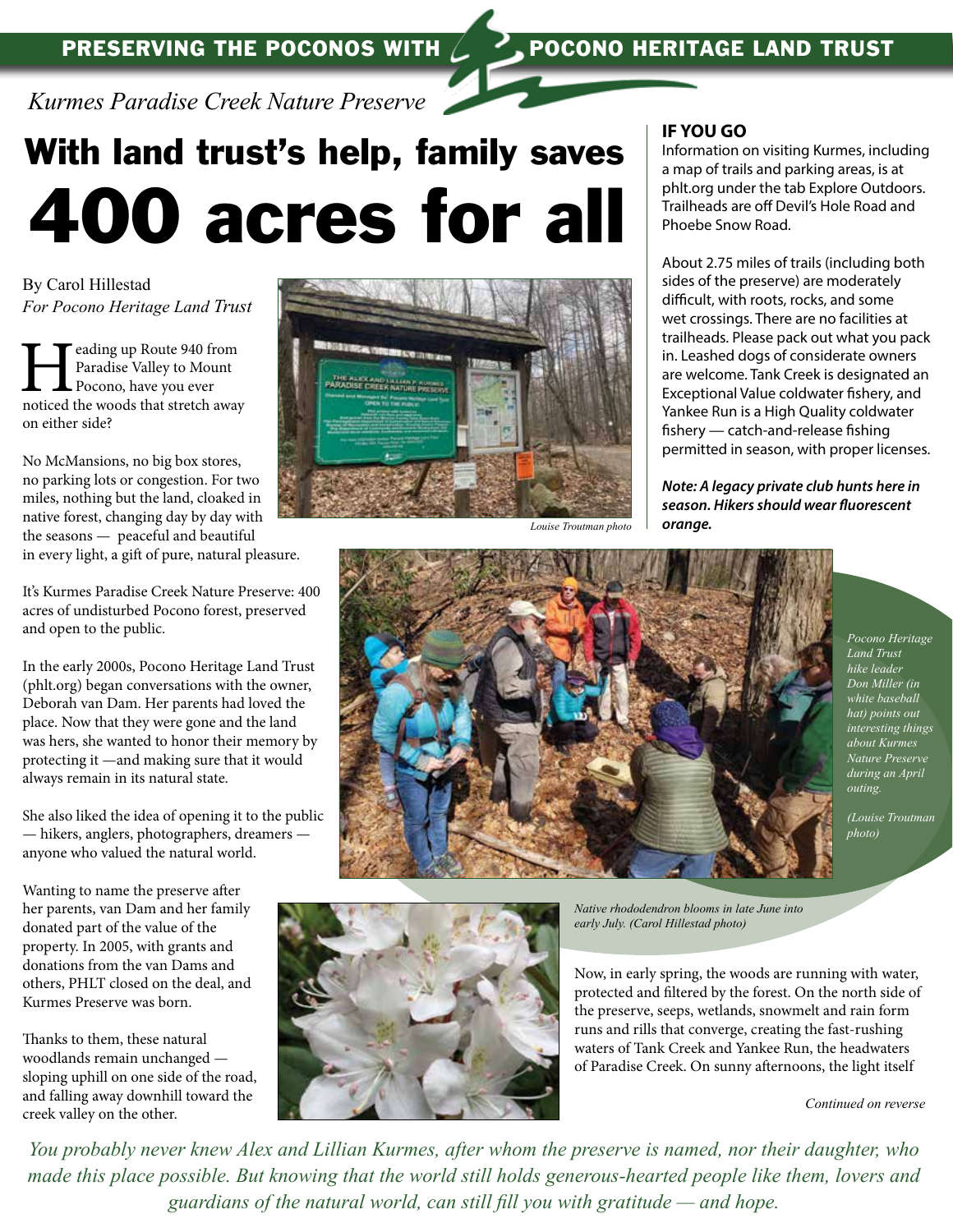

*Kurmes Paradise Creek Nature Preserve*

# With land trust's help, family saves 400 acres for all

By Carol Hillestad *For Pocono Heritage Land Trust*

**Heading up Route 940 from Paradise Valley to Mount Pocono, have you ever noticed the woods that stretch away** Paradise Valley to Mount Pocono, have you ever on either side?

No McMansions, no big box stores, no parking lots or congestion. For two miles, nothing but the land, cloaked in native forest, changing day by day with the seasons — peaceful and beautiful in every light, a gift of pure, natural pleasure.

It's Kurmes Paradise Creek Nature Preserve: 400 acres of undisturbed Pocono forest, preserved and open to the public.

In the early 2000s, Pocono Heritage Land Trust (phlt.org) began conversations with the owner, Deborah van Dam. Her parents had loved the place. Now that they were gone and the land was hers, she wanted to honor their memory by protecting it —and making sure that it would always remain in its natural state.

She also liked the idea of opening it to the public — hikers, anglers, photographers, dreamers anyone who valued the natural world.

Wanting to name the preserve after her parents, van Dam and her family donated part of the value of the property. In 2005, with grants and donations from the van Dams and others, PHLT closed on the deal, and Kurmes Preserve was born.

Thanks to them, these natural woodlands remain unchanged sloping uphill on one side of the road, and falling away downhill toward the creek valley on the other.



#### **IF YOU GO**

Information on visiting Kurmes, including a map of trails and parking areas, is at phlt.org under the tab Explore Outdoors. Trailheads are off Devil's Hole Road and Phoebe Snow Road.

About 2.75 miles of trails (including both sides of the preserve) are moderately difficult, with roots, rocks, and some wet crossings. There are no facilities at trailheads. Please pack out what you pack in. Leashed dogs of considerate owners are welcome. Tank Creek is designated an Exceptional Value coldwater fishery, and Yankee Run is a High Quality coldwater fishery — catch-and-release fishing permitted in season, with proper licenses.

*Note: A legacy private club hunts here in season. Hikers should wear fluorescent orange.*



*Pocono Heritage Land Trust hike leader Don Miller (in white baseball hat) points out interesting things about Kurmes Nature Preserve during an April outing.* 

*(Louise Troutman photo)*

*Native rhododendron blooms in late June into early July. (Carol Hillestad photo)*

Now, in early spring, the woods are running with water, protected and filtered by the forest. On the north side of the preserve, seeps, wetlands, snowmelt and rain form runs and rills that converge, creating the fast-rushing waters of Tank Creek and Yankee Run, the headwaters of Paradise Creek. On sunny afternoons, the light itself



*You probably never knew Alex and Lillian Kurmes, after whom the preserve is named, nor their daughter, who made this place possible. But knowing that the world still holds generous-hearted people like them, lovers and guardians of the natural world, can still fill you with gratitude — and hope.*